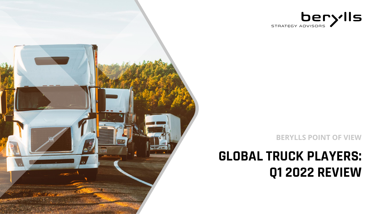

**BERYLLS POINT OF VIEW**

# **GLOBAL TRUCK PLAYERS: Q1 2022 REVIEW**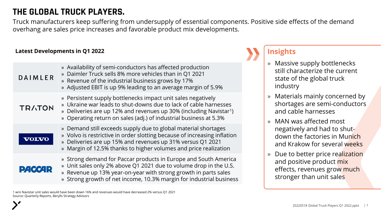## **THE GLOBAL TRUCK PLAYERS.**

Truck manufacturers keep suffering from undersupply of essential components. Positive side effects of the demand overhang are sales price increases and favorable product mix developments.

#### **Latest Developments in Q1 2022**

| <b>DAIMLER</b> | » Availability of semi-conductors has affected production<br>» Daimler Truck sells 8% more vehicles than in Q1 2021<br>» Revenue of the industrial business grows by 17%<br>» Adjusted EBIT is up 9% leading to an average margin of 5.9%                                               |
|----------------|-----------------------------------------------------------------------------------------------------------------------------------------------------------------------------------------------------------------------------------------------------------------------------------------|
| <b>TRATON</b>  | » Persistent supply bottlenecks impact unit sales negatively<br>» Ukraine war leads to shut-downs due to lack of cable harnesses<br>» Deliveries are up 12% and revenues up 30% (including Navistar <sup>1</sup> )<br>» Operating return on sales (adj.) of industrial business at 5.3% |
|                | » Demand still exceeds supply due to global material shortages<br>» Volvo is restrictive in order slotting because of increasing inflation<br>» Deliveries are up 15% and revenues up 31% versus Q1 2021<br>» Margin of 12.5% thanks to higher volumes and price realization            |
| <b>PACCAR</b>  | » Strong demand for Paccar products in Europe and South America<br>» Unit sales only 2% above Q1 2021 due to volume drop in the U.S.<br>» Revenue up 13% year-on-year with strong growth in parts sales<br>» Strong growth of net income, 10.3% margin for industrial business          |

#### **Insights**

- » Massive supply bottlenecks still characterize the current state of the global truck industry
- » Materials mainly concerned by shortages are semi-conductors and cable harnesses
- » MAN was affected most negatively and had to shutdown the factories in Munich and Krakow for several weeks
- » Due to better price realization and positive product mix effects, revenues grow much stronger than unit sales

1 w/o Navistar unit sales would have been down 16% and revenues would have decreased 2% versus Q1 2021 Source: Quarterly Reports, Berylls Strategy Advisors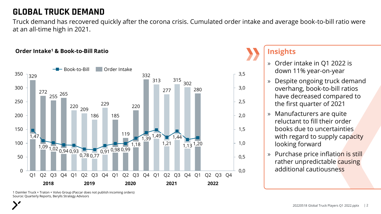### **GLOBAL TRUCK DEMAND**

Truck demand has recovered quickly after the corona crisis. Cumulated order intake and average book-to-bill ratio were at an all-time high in 2021.

#### **Order Intake<sup>1</sup> & Book-to-Bill Ratio**



#### **Insights**

- » Order intake in Q1 2022 is down 11% year-on-year
- » Despite ongoing truck demand overhang, book-to-bill ratios have decreased compared to the first quarter of 2021
- » Manufacturers are quite reluctant to fill their order books due to uncertainties with regard to supply capacity looking forward
- » Purchase price inflation is still rather unpredictable causing additional cautiousness

1 Daimler Truck + Traton + Volvo Group (Paccar does not publish incoming orders) Source: Quarterly Reports, Berylls Strategy Advisors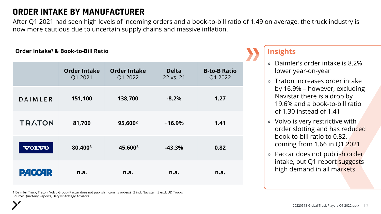## **ORDER INTAKE BY MANUFACTURER**

After Q1 2021 had seen high levels of incoming orders and a book-to-bill ratio of 1.49 on average, the truck industry is now more cautious due to uncertain supply chains and massive inflation.

#### **Order Intake<sup>1</sup> & Book-to-Bill Ratio**

|                | <b>Order Intake</b><br>Q1 2021 | <b>Order Intake</b><br>Q1 2022 | <b>Delta</b><br>22 vs. 21 | <b>B-to-B Ratio</b><br>Q1 2022 |
|----------------|--------------------------------|--------------------------------|---------------------------|--------------------------------|
| <b>DAIMLER</b> | 151,100                        | 138,700                        | $-8.2%$                   | 1.27                           |
| <b>TRATON</b>  | 81,700                         | 95,600 <sup>2</sup>            | $+16.9%$                  | 1.41                           |
| <b>VOLVO</b>   | 80.4003                        | 45.6003                        | $-43.3%$                  | 0.82                           |
| <b>PACCAR</b>  | n.a.                           | n.a.                           | n.a.                      | n.a.                           |

1 Daimler Truck, Traton, Volvo Group (Paccar does not publish incoming orders) 2 incl. Navistar 3 excl. UD Trucks Source: Quarterly Reports, Berylls Strategy Advisors

- » Daimler's order intake is 8.2% lower year-on-year
- » Traton increases order intake by 16.9% – however, excluding Navistar there is a drop by 19.6% and a book-to-bill ratio of 1.30 instead of 1.41
- » Volvo is very restrictive with order slotting and has reduced book-to-bill ratio to 0.82, coming from 1.66 in Q1 2021
- » Paccar does not publish order intake, but Q1 report suggests high demand in all markets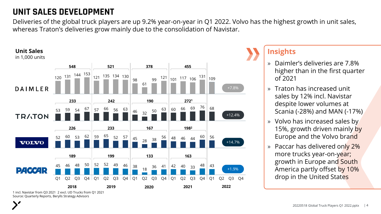## **UNIT SALES DEVELOPMENT**

Deliveries of the global truck players are up 9.2% year-on-year in Q1 2022. Volvo has the highest growth in unit sales, whereas Traton's deliveries grow mainly due to the consolidation of Navistar.



#### 1 incl. Navistar from Q3 2021 2 excl. UD Trucks from Q1 2021 Source: Quarterly Reports, Berylls Strategy Advisors

- » Daimler's deliveries are 7.8% higher than in the first quarter of 2021
- » Traton has increased unit sales by 12% incl. Navistar despite lower volumes at Scania (-28%) and MAN (-17%)
- » Volvo has increased sales by 15%, growth driven mainly by Europe and the Volvo brand
- » Paccar has delivered only 2% more trucks year-on-year; growth in Europe and South America partly offset by 10% drop in the United States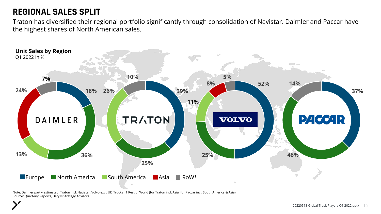### **REGIONAL SALES SPLIT**

Traton has diversified their regional portfolio significantly through consolidation of Navistar. Daimler and Paccar have the highest shares of North American sales.



Note: Daimler partly estimated, Traton incl. Navistar, Volvo excl. UD Trucks 1 Rest of World (for Traton incl. Asia, for Paccar incl. South America & Asia) Source: Quarterly Reports, Berylls Strategy Advisors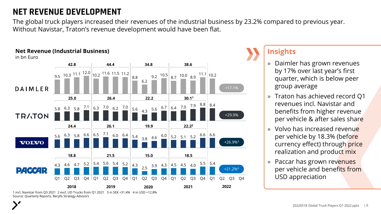## **NET REVENUE DEVELOPMENT**

The global truck players increased their revenues of the industrial business by 23.2% compared to previous year. Without Navistar, Traton's revenue development would have been flat.

#### **Net Revenue (Industrial Business)** in bn Euro **42.8 44.4 34.8 38.6** 9.5 10.3  $11.1$   $12.0$   $\big| 10.2$   $11.6$  11.5 11.2 9.2  $\left| \begin{array}{cc} 10.5 & 8.7 & 10.0 & 8.9 \end{array} \right|$ 8.8 6.2 +17.1% **DAIMLER 25.0 26.4 22.2 30.1<sup>1</sup>**  $7.9$  8.8 8.4 4.3  $\frac{5.6}{ }$  6.7 6.4 7.0 7.1 7.0 5.8 6.4 6.3 5.8 6.3 6.2 7.0 5.6 5.6 6.7 **TRATON** +29.9% **24.4 26.1 19.9 22.2<sup>2</sup>** 6.5 6.0 7.1 5.6 6.3 5.8 6.6 6.4 5.4 3.8 4.6 5.1 6.0 5.2 5.2 6.6 6.6 +26.9%<sup>3</sup> **VOLVO 18.8 21.5 15.0 18.5** 4.3 4.6 4.7  $5.2 \begin{array}{|l} 5.4 \end{array}$  5.6 5.4 5.2 4.3 <sub>2.5</sub> 3.9 4.3 4.5 4.5 4.0 5.5 5.6  $5.5$  | 5.4 4.5 4.0 2.5 +21.2%4 $D4$   $O4$   $R$  $Q1$   $Q2$   $Q3$   $Q4$   $Q1$   $Q2$   $Q3$   $Q4$   $Q1$  $Q2 \tQ3 \tQ4 \tQ1 \tQ2 \tQ3 \tQ4 \tQ1$  $Q4$  |  $Q1$ Q2 Q3 Q4 Q1 Q2 Q4 **2018 2019 2020 2021 2022**

1 incl. Navistar from Q3 2021 2 excl. UD Trucks from Q1 2021 3 in SEK +31.4% 4 in USD +12.8% Source: Quarterly Reports, Berylls Strategy Advisors

- » Daimler has grown revenues by 17% over last year's first quarter, which is below peer group average
- » Traton has achieved record Q1 revenues incl. Navistar and benefits from higher revenue per vehicle & after sales share
- » Volvo has increased revenue per vehicle by 18.3% (before currency effect) through price realization and product mix
- » Paccar has grown revenues per vehicle and benefits from USD appreciation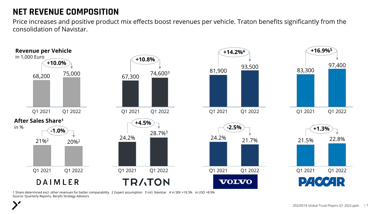## **NET REVENUE COMPOSITION**

Price increases and positive product mix effects boost revenues per vehicle. Traton benefits significantly from the consolidation of Navistar.



1 Share determined excl. other revenues for better comparability 2 Expert assumption 3 incl. Navistar 4 in SEK +18.3% in USD +8.9% Source: Quarterly Reports, Berylls Strategy Advisors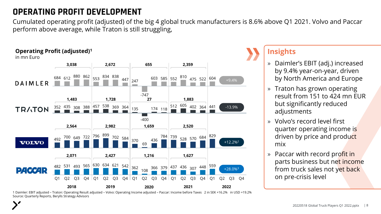## **OPERATING PROFIT DEVELOPMENT**

Cumulated operating profit (adjusted) of the big 4 global truck manufacturers is 8.6% above Q1 2021. Volvo and Paccar perform above average, while Traton is still struggling,



1 Daimler: EBIT adjusted – Traton: Operating Result adjusted – Volvo: Operating Income adjusted – Paccar: Income before Taxes 2 in SEK +16.2% in USD +19.2% Source: Quarterly Reports, Berylls Strategy Advisors

- » Daimler's EBIT (adj.) increased by 9.4% year-on-year, driven by North America and Europe
- » Traton has grown operating result from 151 to 424 mn EUR but significantly reduced adjustments
- » Volvo's record level first quarter operating income is driven by price and product mix
- » Paccar with record profit in parts business but net income from truck sales not yet back on pre-crisis level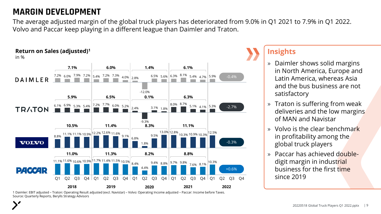### **MARGIN DEVELOPMENT**

The average adjusted margin of the global truck players has deteriorated from 9.0% in Q1 2021 to 7.9% in Q1 2022. Volvo and Paccar keep playing in a different league than Daimler and Traton.



#### **Insights**

- » Daimler shows solid margins in North America, Europe and Latin America, whereas Asia and the bus business are not satisfactory
- » Traton is suffering from weak deliveries and the low margins of MAN and Navistar
- » Volvo is the clear benchmark in profitability among the global truck players
- » Paccar has achieved doubledigit margin in industrial business for the first time since 2019

1 Daimler: EBIT adjusted – Traton: Operating Result adjusted (excl. Navistar) – Volvo: Operating Income adjusted – Paccar: Income before Taxes. Source: Quarterly Reports, Berylls Strategy Advisors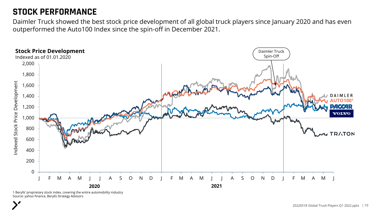### **STOCK PERFORMANCE**

Daimler Truck showed the best stock price development of all global truck players since January 2020 and has even outperformed the Auto100 Index since the spin-off in December 2021.



1 Berylls' proprietary stock index, covering the entire automobility industry Source: yahoo finance, Berylls Strategy Advisors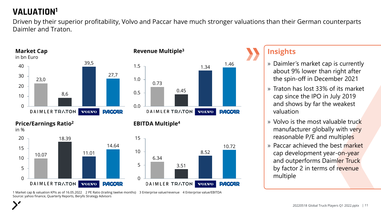## **VALUATION<sup>1</sup>**

Driven by their superior profitability, Volvo and Paccar have much stronger valuations than their German counterparts Daimler and Traton.





#### **Revenue Multiple<sup>3</sup>**



#### **EBITDA Multiple<sup>4</sup>**



1 Market cap & valuation KPIs as of 16.05.2022 2 PE Ratio (trailing twelve months) 3 Enterprise value/revenue 4 Enterprise value/EBITDA Source: yahoo finance, Quarterly Reports, Berylls Strategy Advisors

- » Daimler's market cap is currently about 9% lower than right after the spin-off in December 2021
- » Traton has lost 33% of its market cap since the IPO in July 2019 and shows by far the weakest valuation
- » Volvo is the most valuable truck manufacturer globally with very reasonable P/E and multiples
- » Paccar achieved the best market cap development year-on-year and outperforms Daimler Truck by factor 2 in terms of revenue multiple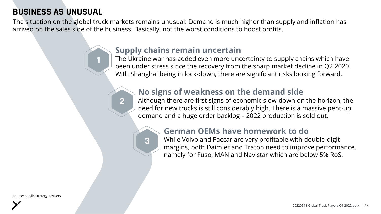## **BUSINESS AS UNUSUAL**

**1**

**2**

The situation on the global truck markets remains unusual: Demand is much higher than supply and inflation has arrived on the sales side of the business. Basically, not the worst conditions to boost profits.

#### **Supply chains remain uncertain**

The Ukraine war has added even more uncertainty to supply chains which have been under stress since the recovery from the sharp market decline in Q2 2020. With Shanghai being in lock-down, there are significant risks looking forward.

#### **No signs of weakness on the demand side**

Although there are first signs of economic slow-down on the horizon, the need for new trucks is still considerably high. There is a massive pent-up demand and a huge order backlog – 2022 production is sold out.



#### **German OEMs have homework to do**

While Volvo and Paccar are very profitable with double-digit margins, both Daimler and Traton need to improve performance, namely for Fuso, MAN and Navistar which are below 5% RoS.

Source: Berylls Strategy Advisors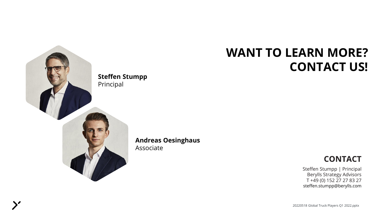

**Andreas Oesinghaus** Associate

# **WANT TO LEARN MORE? CONTACT US!**

#### **CONTACT**

Steffen Stumpp | Principal Berylls Strategy Advisors T +49 (0) 152 27 27 83 27 steffen.stumpp@berylls.com